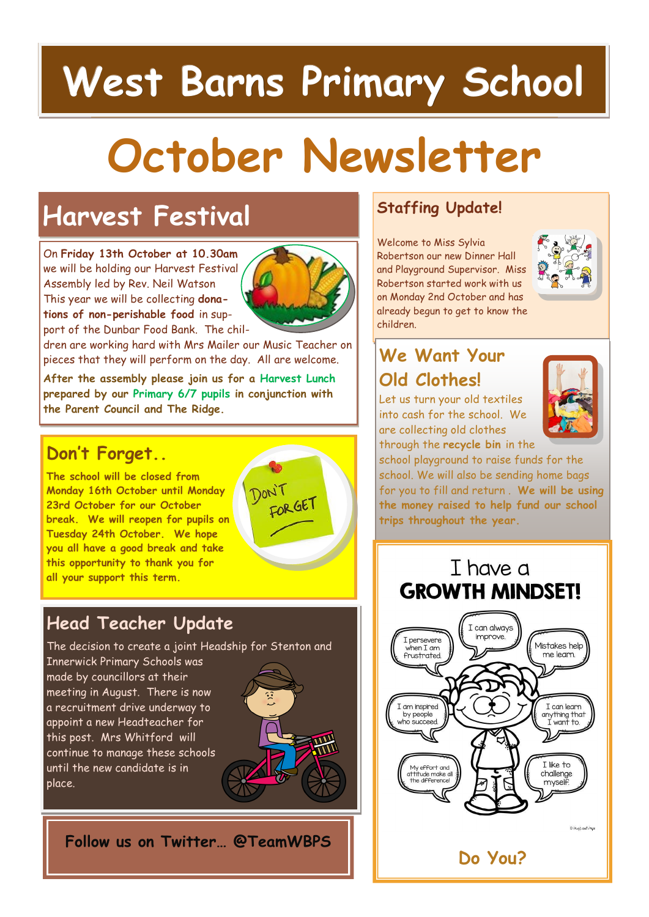## **West Barns Primary School**

# **October Newsletter**

### **Harvest Festival**

On **Friday 13th October at 10.30am**  we will be holding our Harvest Festival Assembly led by Rev. Neil Watson This year we will be collecting **donations of non-perishable food** in support of the Dunbar Food Bank. The chil-



dren are working hard with Mrs Mailer our Music Teacher on pieces that they will perform on the day. All are welcome.

**After the assembly please join us for a Harvest Lunch prepared by our Primary 6/7 pupils in conjunction with the Parent Council and The Ridge.** 

#### **Don't Forget..**

**The school will be closed from Monday 16th October until Monday 23rd October for our October break. We will reopen for pupils on Tuesday 24th October. We hope you all have a good break and take this opportunity to thank you for all your support this term.**

#### **Head Teacher Update**

The decision to create a joint Headship for Stenton and

Innerwick Primary Schools was made by councillors at their meeting in August. There is now a recruitment drive underway to appoint a new Headteacher for this post. Mrs Whitford will continue to manage these schools until the new candidate is in place.



Timo

FOR GET

**Follow us on Twitter… @TeamWBPS**

#### **Staffing Update!**

Welcome to Miss Sylvia Robertson our new Dinner Hall and Playground Supervisor. Miss Robertson started work with us on Monday 2nd October and has already begun to get to know the children.



### **We Want Your Old Clothes!**

Let us turn your old textiles into cash for the school. We are collecting old clothes through the **recycle bin** in the



school playground to raise funds for the school. We will also be sending home bags for you to fill and return . **We will be using the money raised to help fund our school trips throughout the year.**

T have a **GROWTH MINDSET!**